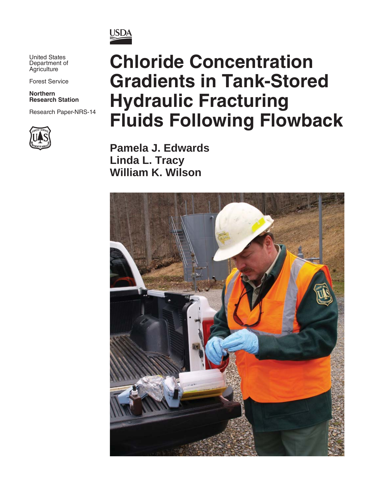

United States Department of **Agriculture** 

Forest Service

**Northern Research Station**

Research Paper-NRS-14



# **Chloride Concentration Gradients in Tank-Stored Hydraulic Fracturing Fluids Following Flowback**

**Pamela J. Edwards Linda L. Tracy William K. Wilson**

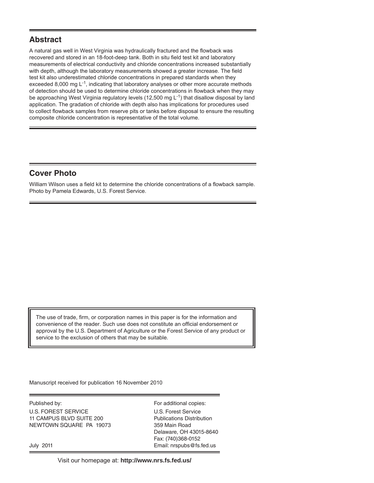#### **Abstract**

A natural gas well in West Virginia was hydraulically fractured and the flowback was recovered and stored in an 18-foot-deep tank. Both in situ field test kit and laboratory measurements of electrical conductivity and chloride concentrations increased substantially with depth, although the laboratory measurements showed a greater increase. The field test kit also underestimated chloride concentrations in prepared standards when they exceeded 8,000 mg  $L^{-1}$ , indicating that laboratory analyses or other more accurate methods of detection should be used to determine chloride concentrations in flowback when they may be approaching West Virginia regulatory levels (12,500 mg  $L^{-1}$ ) that disallow disposal by land application. The gradation of chloride with depth also has implications for procedures used to collect flowback samples from reserve pits or tanks before disposal to ensure the resulting composite chloride concentration is representative of the total volume.

## **Cover Photo**

William Wilson uses a field kit to determine the chloride concentrations of a flowback sample. Photo by Pamela Edwards, U.S. Forest Service.

The use of trade, firm, or corporation names in this paper is for the information and convenience of the reader. Such use does not constitute an official endorsement or approval by the U.S. Department of Agriculture or the Forest Service of any product or service to the exclusion of others that may be suitable.

Manuscript received for publication 16 November 2010

Published by: For additional copies: U.S. FOREST SERVICE U.S. Forest Service 11 CAMPUS BLVD SUITE 200 Publications Distribution NEWTOWN SQUARE PA 19073 359 Main Road

 Delaware, OH 43015-8640 Fax: (740)368-0152 July 2011 Email: nrspubs@fs.fed.us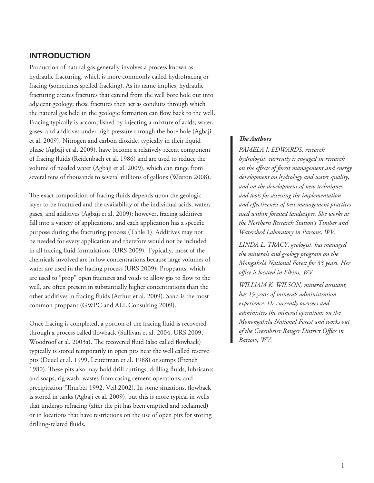#### **INTRODUCTION**

Production of natural gas generally involves a process known as hydraulic fracturing, which is more commonly called hydrofracing or fracing (sometimes spelled fracking). As its name implies, hydraulic fracturing creates fractures that extend from the well bore hole out into adjacent geology; these fractures then act as conduits through which the natural gas held in the geologic formation can flow back to the well. Fracing typically is accomplished by injecting a mixture of acids, water, gases, and additives under high pressure through the bore hole (Agbaji et al. 2009). Nitrogen and carbon dioxide, typically in their liquid phase (Agbaji et al. 2009), have become a relatively recent component of fracing fluids (Reidenbach et al. 1986) and are used to reduce the volume of needed water (Agbaji et al. 2009), which can range from several tens of thousands to several millions of gallons (Weston 2008).

The exact composition of fracing fluids depends upon the geologic layer to be fractured and the availability of the individual acids, water, gases, and additives (Agbaji et al. 2009); however, fracing additives fall into a variety of applications, and each application has a specific purpose during the fracturing process (Table 1). Additives may not be needed for every application and therefore would not be included in all fracing fluid formulations (URS 2009). Typically, most of the chemicals involved are in low concentrations because large volumes of water are used in the fracing process (URS 2009). Proppants, which are used to "prop" open fractures and voids to allow gas to flow to the well, are often present in substantially higher concentrations than the other additives in fracing fluids (Arthur et al. 2009). Sand is the most common proppant (GWPC and ALL Consulting 2009).

Once fracing is completed, a portion of the fracing fluid is recovered through a process called flowback (Sullivan et al. 2004, URS 2009, Woodroof et al. 2003a). The recovered fluid (also called flowback) typically is stored temporarily in open pits near the well called reserve pits (Deuel et al. 1999, Leuterman et al. 1988) or sumps (French 1980). These pits also may hold drill cuttings, drilling fluids, lubricants and soaps, rig wash, wastes from casing cement operations, and precipitation (Thurber 1992, Veil 2002). In some situations, flowback is stored in tanks (Agbaji et al. 2009), but this is more typical in wells that undergo refracing (after the pit has been emptied and reclaimed) or in locations that have restrictions on the use of open pits for storing drilling-related fluids.

#### **The Authors**

*PAMELA J. EDWARDS, research hydrologist, currently is engaged in research on the effects of forest management and energy development on hydrology and water quality, and on the development of new techniques and tools for assessing the implementation and eff ectiveness of best management practices used within forested landscapes. She works at the Northern Research Station's Timber and Watershed Laboratory in Parsons, WV.*

*LINDA L. TRACY, geologist, has managed the minerals and geology program on the Mongahela National Forest for 33 years. Her offi ce is located in Elkins, WV.*

*WILLIAM K. WILSON, mineral assistant, has 19 years of minerals administration experience. He currently oversees and administers the mineral operations on the Monongahela National Forest and works out*   $of$  the Greenbrier Ranger District Office in *Bartow, WV.*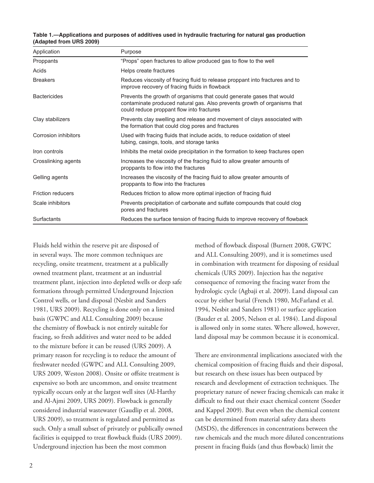| Table 1.—Applications and purposes of additives used in hydraulic fracturing for natural gas production |  |  |
|---------------------------------------------------------------------------------------------------------|--|--|
| (Adapted from URS 2009)                                                                                 |  |  |

| Application              | Purpose                                                                                                                                                                                        |
|--------------------------|------------------------------------------------------------------------------------------------------------------------------------------------------------------------------------------------|
| Proppants                | "Props" open fractures to allow produced gas to flow to the well                                                                                                                               |
| Acids                    | Helps create fractures                                                                                                                                                                         |
| <b>Breakers</b>          | Reduces viscosity of fracing fluid to release proppant into fractures and to<br>improve recovery of fracing fluids in flowback                                                                 |
| <b>Bactericides</b>      | Prevents the growth of organisms that could generate gases that would<br>contaminate produced natural gas. Also prevents growth of organisms that<br>could reduce proppant flow into fractures |
| Clay stabilizers         | Prevents clay swelling and release and movement of clays associated with<br>the formation that could clog pores and fractures                                                                  |
| Corrosion inhibitors     | Used with fracing fluids that include acids, to reduce oxidation of steel<br>tubing, casings, tools, and storage tanks                                                                         |
| Iron controls            | Inhibits the metal oxide precipitation in the formation to keep fractures open                                                                                                                 |
| Crosslinking agents      | Increases the viscosity of the fracing fluid to allow greater amounts of<br>proppants to flow into the fractures                                                                               |
| Gelling agents           | Increases the viscosity of the fracing fluid to allow greater amounts of<br>proppants to flow into the fractures                                                                               |
| <b>Friction reducers</b> | Reduces friction to allow more optimal injection of fracing fluid                                                                                                                              |
| Scale inhibitors         | Prevents precipitation of carbonate and sulfate compounds that could clog<br>pores and fractures                                                                                               |
| Surfactants              | Reduces the surface tension of fracing fluids to improve recovery of flowback                                                                                                                  |

Fluids held within the reserve pit are disposed of in several ways. The more common techniques are recycling, onsite treatment, treatment at a publically owned treatment plant, treatment at an industrial treatment plant, injection into depleted wells or deep safe formations through permitted Underground Injection Control wells, or land disposal (Nesbit and Sanders 1981, URS 2009). Recycling is done only on a limited basis (GWPC and ALL Consulting 2009) because the chemistry of flowback is not entirely suitable for fracing, so fresh additives and water need to be added to the mixture before it can be reused (URS 2009). A primary reason for recycling is to reduce the amount of freshwater needed (GWPC and ALL Consulting 2009, URS 2009, Weston 2008). Onsite or offsite treatment is expensive so both are uncommon, and onsite treatment typically occurs only at the largest well sites (Al-Harthy and Al-Ajmi 2009, URS 2009). Flowback is generally considered industrial wastewater (Gaudlip et al. 2008, URS 2009), so treatment is regulated and permitted as such. Only a small subset of privately or publically owned facilities is equipped to treat flowback fluids (URS 2009). Underground injection has been the most common

method of flowback disposal (Burnett 2008, GWPC and ALL Consulting 2009), and it is sometimes used in combination with treatment for disposing of residual chemicals (URS 2009). Injection has the negative consequence of removing the fracing water from the hydrologic cycle (Agbaji et al. 2009). Land disposal can occur by either burial (French 1980, McFarland et al. 1994, Nesbit and Sanders 1981) or surface application (Bauder et al. 2005, Nelson et al. 1984). Land disposal is allowed only in some states. Where allowed, however, land disposal may be common because it is economical.

There are environmental implications associated with the chemical composition of fracing fluids and their disposal, but research on these issues has been outpaced by research and development of extraction techniques. The proprietary nature of newer fracing chemicals can make it difficult to find out their exact chemical content (Soeder and Kappel 2009). But even when the chemical content can be determined from material safety data sheets (MSDS), the differences in concentrations between the raw chemicals and the much more diluted concentrations present in fracing fluids (and thus flowback) limit the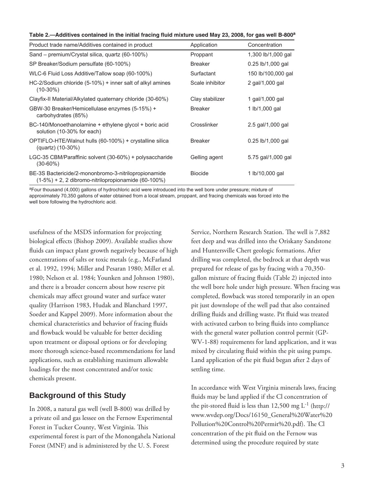| Table 2.—Additives contained in the initial fracing fluid mixture used May 23, 2008, for gas well B-800 <sup>a</sup> |
|----------------------------------------------------------------------------------------------------------------------|
|----------------------------------------------------------------------------------------------------------------------|

| Product trade name/Additives contained in product                                                              | Application     | Concentration       |
|----------------------------------------------------------------------------------------------------------------|-----------------|---------------------|
| Sand – premium/Crystal silica, quartz (60-100%)                                                                | Proppant        | 1,300 lb/1,000 gal  |
| SP Breaker/Sodium persulfate (60-100%)                                                                         | <b>Breaker</b>  | $0.25$ lb/1,000 gal |
| WLC-6 Fluid Loss Additive/Tallow soap (60-100%)                                                                | Surfactant      | 150 lb/100,000 gal  |
| HC-2/Sodium chloride (5-10%) + inner salt of alkyl amines<br>$(10-30\%)$                                       | Scale inhibitor | 2 gal/1,000 gal     |
| Clayfix-II Material/Alkylated quaternary chloride (30-60%)                                                     | Clay stabilizer | 1 gal/1,000 gal     |
| GBW-30 Breaker/Hemicellulase enzymes (5-15%) +<br>carbohydrates (85%)                                          | <b>Breaker</b>  | 1 lb/1,000 gal      |
| BC-140/Monoethanolamine + ethylene glycol + boric acid<br>solution (10-30% for each)                           | Crosslinker     | 2.5 gal/1,000 gal   |
| OPTIFLO-HTE/Walnut hulls (60-100%) + crystalline silica<br>(quartz) (10-30%)                                   | <b>Breaker</b>  | $0.25$ lb/1,000 gal |
| LGC-35 CBM/Paraffinic solvent (30-60%) + polysaccharide<br>$(30 - 60\%)$                                       | Gelling agent   | 5.75 gal/1,000 gal  |
| BE-3S Bactericide/2-mononbromo-3-nitrilopropionamide<br>$(1-5%) + 2$ , 2 dibromo-nitrilopropionamide (60-100%) | <b>Biocide</b>  | 1 lb/10,000 gal     |

<sup>a</sup>Four thousand (4,000) gallons of hydrochloric acid were introduced into the well bore under pressure; mixture of approximately 70,350 gallons of water obtained from a local stream, proppant, and fracing chemicals was forced into the well bore following the hydrochloric acid.

usefulness of the MSDS information for projecting biological effects (Bishop 2009). Available studies show fluids can impact plant growth negatively because of high concentrations of salts or toxic metals (e.g., McFarland et al. 1992, 1994; Miller and Pesaran 1980; Miller et al. 1980; Nelson et al. 1984; Younken and Johnson 1980), and there is a broader concern about how reserve pit chemicals may affect ground water and surface water quality (Harrison 1983, Hudak and Blanchard 1997, Soeder and Kappel 2009). More information about the chemical characteristics and behavior of fracing fluids and flowback would be valuable for better deciding upon treatment or disposal options or for developing more thorough science-based recommendations for land applications, such as establishing maximum allowable loadings for the most concentrated and/or toxic chemicals present.

## **Background of this Study**

In 2008, a natural gas well (well B-800) was drilled by a private oil and gas lessee on the Fernow Experimental Forest in Tucker County, West Virginia. This experimental forest is part of the Monongahela National Forest (MNF) and is administered by the U. S. Forest

Service, Northern Research Station. The well is 7,882 feet deep and was drilled into the Oriskany Sandstone and Huntersville Chert geologic formations. After drilling was completed, the bedrock at that depth was prepared for release of gas by fracing with a 70,350 gallon mixture of fracing fluids (Table 2) injected into the well bore hole under high pressure. When fracing was completed, flowback was stored temporarily in an open pit just downslope of the well pad that also contained drilling fluids and drilling waste. Pit fluid was treated with activated carbon to bring fluids into compliance with the general water pollution control permit (GP-WV-1-88) requirements for land application, and it was mixed by circulating fluid within the pit using pumps. Land application of the pit fluid began after 2 days of settling time.

In accordance with West Virginia minerals laws, fracing fluids may be land applied if the Cl concentration of the pit-stored fluid is less than  $12,500$  mg  $L^{-1}$  (http:// www.wvdep.org/Docs/16150\_General%20Water%20 Pollution%20Control%20Permit%20.pdf). The Cl concentration of the pit fluid on the Fernow was determined using the procedure required by state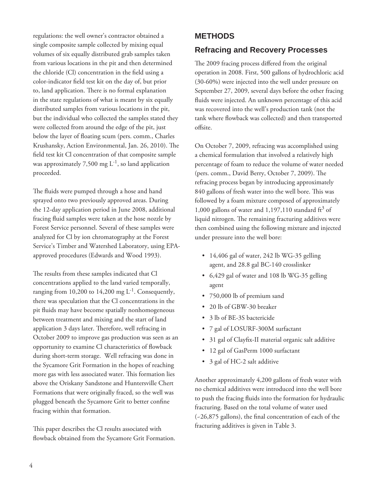regulations: the well owner's contractor obtained a single composite sample collected by mixing equal volumes of six equally distributed grab samples taken from various locations in the pit and then determined the chloride (Cl) concentration in the field using a color-indicator field test kit on the day of, but prior to, land application. There is no formal explanation in the state regulations of what is meant by six equally distributed samples from various locations in the pit, but the individual who collected the samples stated they were collected from around the edge of the pit, just below the layer of floating scum (pers. comm., Charles Krushansky, Action Environmental, Jan. 26, 2010). The field test kit Cl concentration of that composite sample was approximately 7,500 mg  $L^{-1}$ , so land application proceeded.

The fluids were pumped through a hose and hand sprayed onto two previously approved areas. During the 12-day application period in June 2008, additional fracing fluid samples were taken at the hose nozzle by Forest Service personnel. Several of these samples were analyzed for Cl by ion chromatography at the Forest Service's Timber and Watershed Laboratory, using EPAapproved procedures (Edwards and Wood 1993).

The results from these samples indicated that Cl concentrations applied to the land varied temporally, ranging from 10,200 to 14,200 mg  $L^{-1}$ . Consequently, there was speculation that the Cl concentrations in the pit fluids may have become spatially nonhomogeneous between treatment and mixing and the start of land application 3 days later. Therefore, well refracing in October 2009 to improve gas production was seen as an opportunity to examine Cl characteristics of flowback during short-term storage. Well refracing was done in the Sycamore Grit Formation in the hopes of reaching more gas with less associated water. This formation lies above the Oriskany Sandstone and Huntersville Chert Formations that were originally fraced, so the well was plugged beneath the Sycamore Grit to better confine fracing within that formation.

This paper describes the Cl results associated with flowback obtained from the Sycamore Grit Formation.

# **METHODS**

# **Refracing and Recovery Processes**

The 2009 fracing process differed from the original operation in 2008. First, 500 gallons of hydrochloric acid (30-60%) were injected into the well under pressure on September 27, 2009, several days before the other fracing fluids were injected. An unknown percentage of this acid was recovered into the well's production tank (not the tank where flowback was collected) and then transported offsite.

On October 7, 2009, refracing was accomplished using a chemical formulation that involved a relatively high percentage of foam to reduce the volume of water needed (pers. comm., David Berry, October 7, 2009). The refracing process began by introducing approximately 840 gallons of fresh water into the well bore. This was followed by a foam mixture composed of approximately 1,000 gallons of water and 1,197,110 standard  $\text{ft}^3$  of liquid nitrogen. The remaining fracturing additives were then combined using the following mixture and injected under pressure into the well bore:

- 14,406 gal of water, 242 lb WG-35 gelling agent, and 28.8 gal BC-140 crosslinker
- 6,429 gal of water and 108 lb WG-35 gelling agent
- 750,000 lb of premium sand
- 20 lb of GBW-30 breaker
- 3 lb of BE-3S bactericide
- 7 gal of LOSURF-300M surfactant
- 31 gal of Clayfix-II material organic salt additive
- 12 gal of GasPerm 1000 surfactant
- 3 gal of HC-2 salt additive

Another approximately 4,200 gallons of fresh water with no chemical additives were introduced into the well bore to push the fracing fluids into the formation for hydraulic fracturing. Based on the total volume of water used  $(-26,875)$  gallons), the final concentration of each of the fracturing additives is given in Table 3.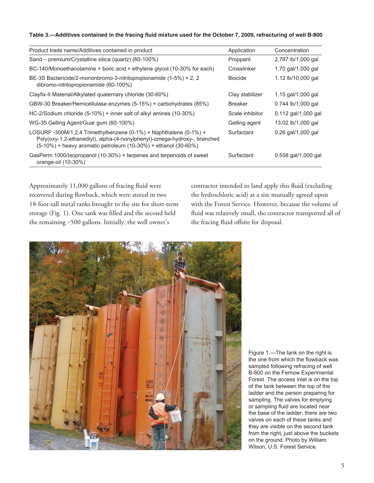#### Table 3.—Additives contained in the fracing fluid mixture used for the October 7, 2009, refracturing of well B-800

| Product trade name/Additives contained in product                                                                                                                                                                           | Application     | Concentration         |
|-----------------------------------------------------------------------------------------------------------------------------------------------------------------------------------------------------------------------------|-----------------|-----------------------|
| Sand – premium/Crystalline silica (quartz) (60-100%)                                                                                                                                                                        | Proppant        | 2,787 lb/1,000 gal    |
| BC-140/Monoethanolamine + boric acid + ethylene glycol (10-30% for each)                                                                                                                                                    | Crosslinker     | 1.70 gal/1,000 gal    |
| BE-3S Bactericide/2-mononbromo-3-nitrilopropionamide (1-5%) + 2, 2<br>dibromo-nitrilopropionamide (60-100%)                                                                                                                 | <b>Biocide</b>  | 1.12 lb/10,000 gal    |
| Clayfix-II Material/Alkylated quaternary chloride (30-60%)                                                                                                                                                                  | Clay stabilizer | 1.15 gal/1,000 gal    |
| GBW-30 Breaker/Hemicellulase enzymes (5-15%) + carbohydrates (85%)                                                                                                                                                          | <b>Breaker</b>  | 0.744 lb/1,000 gal    |
| HC-2/Sodium chloride (5-10%) + inner salt of alkyl amines (10-30%)                                                                                                                                                          | Scale inhibitor | $0.112$ gal/1,000 gal |
| WG-35 Gelling Agent/Guar gum (60-100%)                                                                                                                                                                                      | Gelling agent   | 13.02 lb/1,000 gal    |
| LOSURF -300M/1,2,4 Trimethylbenzene $(0-1\%)$ + Naphthalene $(0-1\%)$ +<br>Poly(oxy-1,2-ethanediyl), alpha-(4-nonylphenyl)-omega-hydroxy-, branched<br>$(5-10%)$ + heavy aromatic petroleum $(10-30%)$ + ethanol $(30-60%)$ | Surfactant      | 0.26 gal/1,000 gal    |
| GasPerm 1000/Isopropanol (10-30%) + terpenes and terpenoids of sweet<br>orange-oil (10-30%)                                                                                                                                 | Surfactant      | $0.558$ gal/1,000 gal |

Approximately 11,000 gallons of fracing fluid were recovered during flowback, which were stored in two 18-foot-tall metal tanks brought to the site for short-term storage (Fig. 1). One tank was filled and the second held the remaining ~500 gallons. Initially, the well owner's

contractor intended to land apply this fluid (excluding the hydrochloric acid) at a site mutually agreed upon with the Forest Service. However, because the volume of fluid was relatively small, the contractor transported all of the fracing fluid offsite for disposal.



Figure 1.—The tank on the right is the one from which the flowback was sampled following refracing of well B-800 on the Fernow Experimental Forest. The access inlet is on the top of the tank between the top of the ladder and the person preparing for sampling. The valves for emptying or sampling fluid are located near the base of the ladder; there are two valves on each of these tanks and they are visible on the second tank from the right, just above the buckets on the ground. Photo by William Wilson, U.S. Forest Service.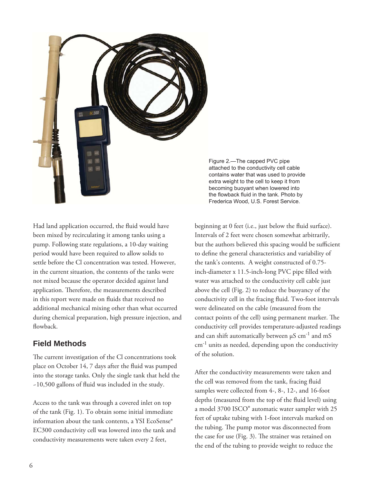

Had land application occurred, the fluid would have been mixed by recirculating it among tanks using a pump. Following state regulations, a 10-day waiting period would have been required to allow solids to settle before the Cl concentration was tested. However, in the current situation, the contents of the tanks were not mixed because the operator decided against land application. Therefore, the measurements described in this report were made on fluids that received no additional mechanical mixing other than what occurred during chemical preparation, high pressure injection, and flowback.

## **Field Methods**

The current investigation of the Cl concentrations took place on October 14, 7 days after the fluid was pumped into the storage tanks. Only the single tank that held the ~10,500 gallons of fluid was included in the study.

Access to the tank was through a covered inlet on top of the tank (Fig. 1). To obtain some initial immediate information about the tank contents, a YSI EcoSense® EC300 conductivity cell was lowered into the tank and conductivity measurements were taken every 2 feet,

Figure 2.—The capped PVC pipe attached to the conductivity cell cable contains water that was used to provide extra weight to the cell to keep it from becoming buoyant when lowered into the flowback fluid in the tank. Photo by Frederica Wood, U.S. Forest Service.

beginning at 0 feet (i.e., just below the fluid surface). Intervals of 2 feet were chosen somewhat arbitrarily, but the authors believed this spacing would be sufficient to define the general characteristics and variability of the tank's contents. A weight constructed of 0.75 inch-diameter x 11.5-inch-long PVC pipe filled with water was attached to the conductivity cell cable just above the cell (Fig. 2) to reduce the buoyancy of the conductivity cell in the fracing fluid. Two-foot intervals were delineated on the cable (measured from the contact points of the cell) using permanent marker. The conductivity cell provides temperature-adjusted readings and can shift automatically between  $\mu$ S cm<sup>-1</sup> and mS cm-1 units as needed, depending upon the conductivity of the solution.

After the conductivity measurements were taken and the cell was removed from the tank, fracing fluid samples were collected from 4-, 8-, 12-, and 16-foot depths (measured from the top of the fluid level) using a model 3700 ISCO® automatic water sampler with 25 feet of uptake tubing with 1-foot intervals marked on the tubing. The pump motor was disconnected from the case for use (Fig.  $3$ ). The strainer was retained on the end of the tubing to provide weight to reduce the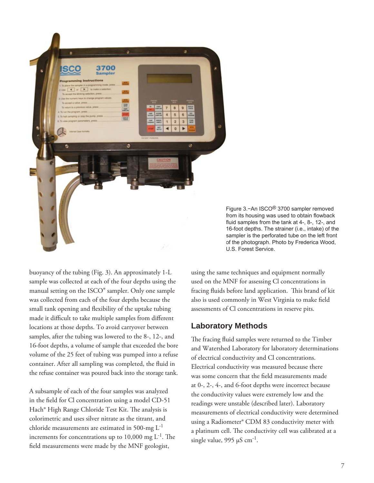

Figure 3.−An ISCO® 3700 sampler removed from its housing was used to obtain flowback fluid samples from the tank at 4-, 8-, 12-, and 16-foot depths. The strainer (i.e., intake) of the sampler is the perforated tube on the left front of the photograph. Photo by Frederica Wood, U.S. Forest Service.

buoyancy of the tubing (Fig. 3). An approximately 1-L sample was collected at each of the four depths using the manual setting on the ISCO® sampler. Only one sample was collected from each of the four depths because the small tank opening and flexibility of the uptake tubing made it difficult to take multiple samples from different locations at those depths. To avoid carryover between samples, after the tubing was lowered to the 8-, 12-, and 16-foot depths, a volume of sample that exceeded the bore volume of the 25 feet of tubing was pumped into a refuse container. After all sampling was completed, the fluid in the refuse container was poured back into the storage tank.

A subsample of each of the four samples was analyzed in the field for Cl concentration using a model CD-51 Hach<sup>®</sup> High Range Chloride Test Kit. The analysis is colorimetric and uses silver nitrate as the titrant, and chloride measurements are estimated in 500-mg L-1 increments for concentrations up to 10,000 mg  $L^{-1}$ . The field measurements were made by the MNF geologist,

using the same techniques and equipment normally used on the MNF for assessing Cl concentrations in fracing fluids before land application. This brand of kit also is used commonly in West Virginia to make field assessments of Cl concentrations in reserve pits.

#### **Laboratory Methods**

The fracing fluid samples were returned to the Timber and Watershed Laboratory for laboratory determinations of electrical conductivity and Cl concentrations. Electrical conductivity was measured because there was some concern that the field measurements made at 0-, 2-, 4-, and 6-foot depths were incorrect because the conductivity values were extremely low and the readings were unstable (described later). Laboratory measurements of electrical conductivity were determined using a Radiometer® CDM 83 conductivity meter with a platinum cell. The conductivity cell was calibrated at a single value,  $995 \mu S \text{ cm}^{-1}$ .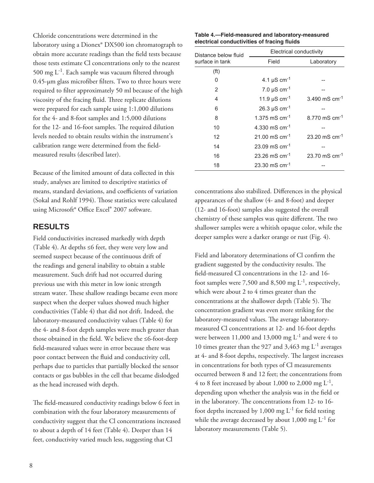Chloride concentrations were determined in the laboratory using a Dionex® DX500 ion chromatograph to obtain more accurate readings than the field tests because those tests estimate Cl concentrations only to the nearest 500 mg  $L^{-1}$ . Each sample was vacuum filtered through  $0.45$ -µm glass microfiber filters. Two to three hours were required to filter approximately 50 ml because of the high viscosity of the fracing fluid. Three replicate dilutions were prepared for each sample using 1:1,000 dilutions for the 4- and 8-foot samples and 1:5,000 dilutions for the 12- and 16-foot samples. The required dilution levels needed to obtain results within the instrument's calibration range were determined from the fieldmeasured results (described later).

Because of the limited amount of data collected in this study, analyses are limited to descriptive statistics of means, standard deviations, and coefficients of variation (Sokal and Rohlf 1994). Those statistics were calculated using Microsoft<sup>®</sup> Office Excel<sup>®</sup> 2007 software.

## **RESULTS**

Field conductivities increased markedly with depth (Table 4). At depths ≤6 feet, they were very low and seemed suspect because of the continuous drift of the readings and general inability to obtain a stable measurement. Such drift had not occurred during previous use with this meter in low ionic strength stream water. These shallow readings became even more suspect when the deeper values showed much higher conductivities (Table 4) that did not drift. Indeed, the laboratory-measured conductivity values (Table 4) for the 4- and 8-foot depth samples were much greater than those obtained in the field. We believe the ≤6-foot-deep field-measured values were in error because there was poor contact between the fluid and conductivity cell, perhaps due to particles that partially blocked the sensor contacts or gas bubbles in the cell that became dislodged as the head increased with depth.

The field-measured conductivity readings below 6 feet in combination with the four laboratory measurements of conductivity suggest that the Cl concentrations increased to about a depth of 14 feet (Table 4). Deeper than 14 feet, conductivity varied much less, suggesting that Cl

#### **Table 4.—Field-measured and laboratory-measured electrical conductivities of fracing fluids**

| Distance below fluid | Electrical conductivity       |                           |  |  |
|----------------------|-------------------------------|---------------------------|--|--|
| surface in tank      | Field                         | Laboratory                |  |  |
| (f <sup>t</sup> )    |                               |                           |  |  |
| 0                    | 4.1 $\mu$ S cm <sup>-1</sup>  |                           |  |  |
| 2                    | 7.0 $\mu$ S cm <sup>-1</sup>  |                           |  |  |
| 4                    | 11.9 $\mu$ S cm <sup>-1</sup> | 3.490 mS $cm^{-1}$        |  |  |
| 6                    | 26.3 $\mu$ S cm <sup>-1</sup> |                           |  |  |
| 8                    | 1.375 mS $cm^{-1}$            | 8.770 mS cm <sup>-1</sup> |  |  |
| 10                   | 4.330 mS cm <sup>-1</sup>     |                           |  |  |
| 12                   | 21.00 mS $cm^{-1}$            | 23.20 mS $cm^{-1}$        |  |  |
| 14                   | 23.09 mS $cm^{-1}$            |                           |  |  |
| 16                   | 23.26 mS $cm^{-1}$            | 23.70 mS $cm^{-1}$        |  |  |
| 18                   | 23.30 mS $cm^{-1}$            |                           |  |  |

concentrations also stabilized. Differences in the physical appearances of the shallow (4- and 8-foot) and deeper (12- and 16-foot) samples also suggested the overall chemistry of these samples was quite different. The two shallower samples were a whitish opaque color, while the deeper samples were a darker orange or rust (Fig. 4).

Field and laboratory determinations of Cl confirm the gradient suggested by the conductivity results. The field-measured Cl concentrations in the 12- and 16foot samples were 7,500 and 8,500 mg  $L^{-1}$ , respectively, which were about 2 to 4 times greater than the concentrations at the shallower depth (Table 5). The concentration gradient was even more striking for the laboratory-measured values. The average laboratorymeasured Cl concentrations at 12- and 16-foot depths were between 11,000 and 13,000 mg  $L^{-1}$  and were 4 to 10 times greater than the 927 and 3,463 mg L-1 averages at 4- and 8-foot depths, respectively. The largest increases in concentrations for both types of Cl measurements occurred between 8 and 12 feet; the concentrations from 4 to 8 feet increased by about 1,000 to 2,000 mg  $L^{-1}$ , depending upon whether the analysis was in the field or in the laboratory. The concentrations from 12- to 16foot depths increased by 1,000 mg  $L^{-1}$  for field testing while the average decreased by about  $1,000 \text{ mg } L^{-1}$  for laboratory measurements (Table 5).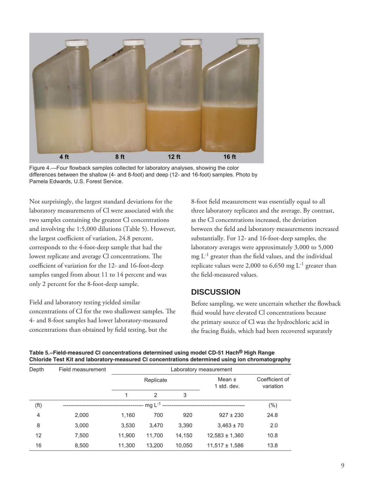

Figure 4.—Four flowback samples collected for laboratory analyses, showing the color differences between the shallow (4- and 8-foot) and deep (12- and 16-foot) samples. Photo by Pamela Edwards, U.S. Forest Service.

Not surprisingly, the largest standard deviations for the laboratory measurements of Cl were associated with the two samples containing the greatest Cl concentrations and involving the 1:5,000 dilutions (Table 5). However, the largest coefficient of variation, 24.8 percent, corresponds to the 4-foot-deep sample that had the lowest replicate and average Cl concentrations. The coefficient of variation for the 12- and 16-foot-deep samples ranged from about 11 to 14 percent and was only 2 percent for the 8-foot-deep sample.

Field and laboratory testing yielded similar concentrations of Cl for the two shallowest samples. The 4- and 8-foot samples had lower laboratory-measured concentrations than obtained by field testing, but the

8-foot field measurement was essentially equal to all three laboratory replicates and the average. By contrast, as the Cl concentrations increased, the deviation between the field and laboratory measurements increased substantially. For 12- and 16-foot-deep samples, the laboratory averages were approximately 3,000 to 5,000 mg  $L^{-1}$  greater than the field values, and the individual replicate values were 2,000 to 6,650 mg  $L^{-1}$  greater than the field-measured values.

#### **DISCUSSION**

Before sampling, we were uncertain whether the flowback fluid would have elevated Cl concentrations because the primary source of Cl was the hydrochloric acid in the fracing fluids, which had been recovered separately

| Table 5.–Field-measured Cl concentrations determined using model CD-51 Hach <sup>®</sup> High Range |
|-----------------------------------------------------------------------------------------------------|
| Chloride Test Kit and laboratory-measured CI concentrations determined using ion chromatography     |

| Depth             | Field measurement | Laboratory measurement |             |        |                           |                             |  |
|-------------------|-------------------|------------------------|-------------|--------|---------------------------|-----------------------------|--|
|                   |                   | Replicate              |             |        | Mean $\pm$<br>1 std. dev. | Coefficient of<br>variation |  |
|                   |                   |                        | 2           | 3      |                           |                             |  |
| (f <sup>t</sup> ) |                   |                        | mg $L^{-1}$ |        |                           | (% )                        |  |
| 4                 | 2,000             | 1,160                  | 700         | 920    | $927 \pm 230$             | 24.8                        |  |
| 8                 | 3,000             | 3,530                  | 3,470       | 3,390  | $3,463 \pm 70$            | 2.0                         |  |
| 12                | 7,500             | 11,900                 | 11,700      | 14,150 | $12,583 \pm 1,360$        | 10.8                        |  |
| 16                | 8,500             | 11,300                 | 13,200      | 10,050 | $11,517 \pm 1,586$        | 13.8                        |  |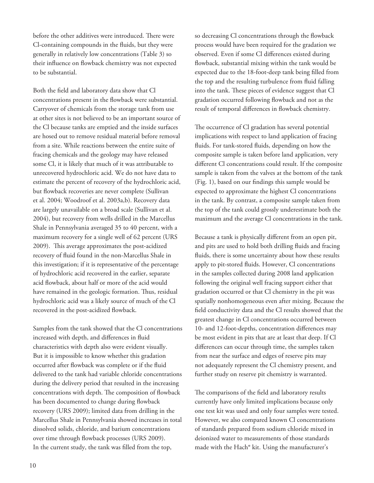before the other additives were introduced. There were Cl-containing compounds in the fluids, but they were generally in relatively low concentrations (Table 3) so their influence on flowback chemistry was not expected to be substantial.

Both the field and laboratory data show that Cl concentrations present in the flowback were substantial. Carryover of chemicals from the storage tank from use at other sites is not believed to be an important source of the Cl because tanks are emptied and the inside surfaces are hosed out to remove residual material before removal from a site. While reactions between the entire suite of fracing chemicals and the geology may have released some Cl, it is likely that much of it was attributable to unrecovered hydrochloric acid. We do not have data to estimate the percent of recovery of the hydrochloric acid, but flowback recoveries are never complete (Sullivan et al. 2004; Woodroof et al. 2003a,b). Recovery data are largely unavailable on a broad scale (Sullivan et al. 2004), but recovery from wells drilled in the Marcellus Shale in Pennsylvania averaged 35 to 40 percent, with a maximum recovery for a single well of 62 percent (URS 2009). This average approximates the post-acidized recovery of fluid found in the non-Marcellus Shale in this investigation; if it is representative of the percentage of hydrochloric acid recovered in the earlier, separate acid flowback, about half or more of the acid would have remained in the geologic formation. Thus, residual hydrochloric acid was a likely source of much of the Cl recovered in the post-acidized flowback.

Samples from the tank showed that the Cl concentrations increased with depth, and differences in fluid characteristics with depth also were evident visually. But it is impossible to know whether this gradation occurred after flowback was complete or if the fluid delivered to the tank had variable chloride concentrations during the delivery period that resulted in the increasing concentrations with depth. The composition of flowback has been documented to change during flowback recovery (URS 2009); limited data from drilling in the Marcellus Shale in Pennsylvania showed increases in total dissolved solids, chloride, and barium concentrations over time through flowback processes (URS 2009). In the current study, the tank was filled from the top,

so decreasing Cl concentrations through the flowback process would have been required for the gradation we observed. Even if some Cl differences existed during flowback, substantial mixing within the tank would be expected due to the 18-foot-deep tank being filled from the top and the resulting turbulence from fluid falling into the tank. These pieces of evidence suggest that Cl gradation occurred following flowback and not as the result of temporal differences in flowback chemistry.

The occurrence of Cl gradation has several potential implications with respect to land application of fracing fluids. For tank-stored fluids, depending on how the composite sample is taken before land application, very different Cl concentrations could result. If the composite sample is taken from the valves at the bottom of the tank (Fig. 1), based on our findings this sample would be expected to approximate the highest Cl concentrations in the tank. By contrast, a composite sample taken from the top of the tank could grossly underestimate both the maximum and the average Cl concentrations in the tank.

Because a tank is physically different from an open pit, and pits are used to hold both drilling fluids and fracing fluids, there is some uncertainty about how these results apply to pit-stored fluids. However, Cl concentrations in the samples collected during 2008 land application following the original well fracing support either that gradation occurred or that Cl chemistry in the pit was spatially nonhomogeneous even after mixing. Because the field conductivity data and the Cl results showed that the greatest change in Cl concentrations occurred between 10- and 12-foot-depths, concentration differences may be most evident in pits that are at least that deep. If Cl differences can occur through time, the samples taken from near the surface and edges of reserve pits may not adequately represent the Cl chemistry present, and further study on reserve pit chemistry is warranted.

The comparisons of the field and laboratory results currently have only limited implications because only one test kit was used and only four samples were tested. However, we also compared known Cl concentrations of standards prepared from sodium chloride mixed in deionized water to measurements of those standards made with the Hach® kit. Using the manufacturer's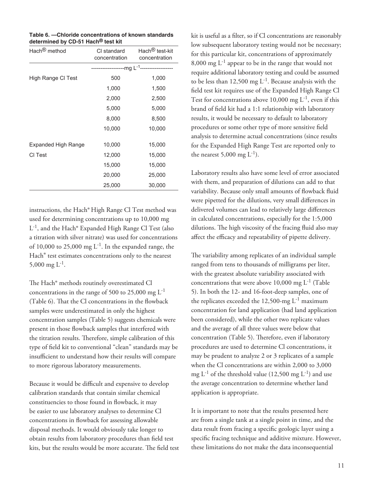| Table 6. - Chloride concentrations of known standards |
|-------------------------------------------------------|
| determined by CD-51 Hach® test kit                    |

| Hach <sup>®</sup> method   | CI standard<br>concentration | Hach <sup>®</sup> test-kit<br>concentration |
|----------------------------|------------------------------|---------------------------------------------|
|                            |                              |                                             |
| High Range CI Test         | 500                          | 1,000                                       |
|                            | 1,000                        | 1,500                                       |
|                            | 2,000                        | 2,500                                       |
|                            | 5,000                        | 5,000                                       |
|                            | 8,000                        | 8,500                                       |
|                            | 10,000                       | 10,000                                      |
| <b>Expanded High Range</b> | 10,000                       | 15,000                                      |
| CI Test                    | 12,000                       | 15,000                                      |
|                            | 15,000                       | 15,000                                      |
|                            | 20,000                       | 25,000                                      |
|                            | 25,000                       | 30,000                                      |
|                            |                              |                                             |

instructions, the Hach® High Range Cl Test method was used for determining concentrations up to 10,000 mg L-1, and the Hach® Expanded High Range Cl Test (also a titration with silver nitrate) was used for concentrations of 10,000 to 25,000 mg  $L^{-1}$ . In the expanded range, the Hach® test estimates concentrations only to the nearest 5,000 mg  $L^{-1}$ .

The Hach® methods routinely overestimated Cl concentrations in the range of 500 to 25,000 mg  $L^{-1}$ (Table 6). That the Cl concentrations in the flowback samples were underestimated in only the highest concentration samples (Table 5) suggests chemicals were present in those flowback samples that interfered with the titration results. Therefore, simple calibration of this type of field kit to conventional "clean" standards may be insufficient to understand how their results will compare to more rigorous laboratory measurements.

Because it would be difficult and expensive to develop calibration standards that contain similar chemical constituencies to those found in flowback, it may be easier to use laboratory analyses to determine Cl concentrations in flowback for assessing allowable disposal methods. It would obviously take longer to obtain results from laboratory procedures than field test kits, but the results would be more accurate. The field test kit is useful as a filter, so if Cl concentrations are reasonably low subsequent laboratory testing would not be necessary; for this particular kit, concentrations of approximately 8,000 mg  $L^{-1}$  appear to be in the range that would not require additional laboratory testing and could be assumed to be less than 12,500 mg  $L^{-1}$ . Because analysis with the field test kit requires use of the Expanded High Range Cl Test for concentrations above 10,000 mg  $L^{-1}$ , even if this brand of field kit had a 1:1 relationship with laboratory results, it would be necessary to default to laboratory procedures or some other type of more sensitive field analysis to determine actual concentrations (since results for the Expanded High Range Test are reported only to the nearest  $5,000 \text{ mg } L^{-1}$ ).

Laboratory results also have some level of error associated with them, and preparation of dilutions can add to that variability. Because only small amounts of flowback fluid were pipetted for the dilutions, very small differences in delivered volumes can lead to relatively large differences in calculated concentrations, especially for the 1:5,000 dilutions. The high viscosity of the fracing fluid also may affect the efficacy and repeatability of pipette delivery.

The variability among replicates of an individual sample ranged from tens to thousands of milligrams per liter, with the greatest absolute variability associated with concentrations that were above 10,000 mg  $L^{-1}$  (Table 5). In both the 12- and 16-foot-deep samples, one of the replicates exceeded the 12,500-mg  $L^{-1}$  maximum concentration for land application (had land application been considered), while the other two replicate values and the average of all three values were below that concentration (Table 5). Therefore, even if laboratory procedures are used to determine Cl concentrations, it may be prudent to analyze 2 or 3 replicates of a sample when the Cl concentrations are within 2,000 to 3,000 mg  $L^{-1}$  of the threshold value (12,500 mg  $L^{-1}$ ) and use the average concentration to determine whether land application is appropriate.

It is important to note that the results presented here are from a single tank at a single point in time, and the data result from fracing a specific geologic layer using a specific fracing technique and additive mixture. However, these limitations do not make the data inconsequential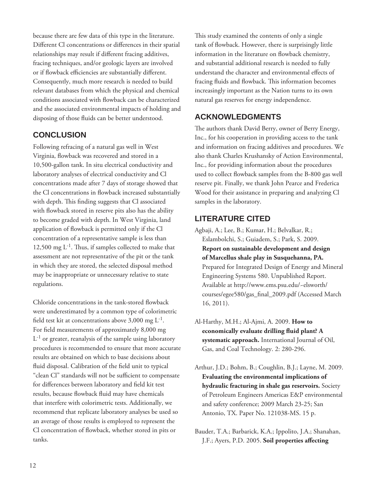because there are few data of this type in the literature. Different Cl concentrations or differences in their spatial relationships may result if different fracing additives, fracing techniques, and/or geologic layers are involved or if flowback efficiencies are substantially different. Consequently, much more research is needed to build relevant databases from which the physical and chemical conditions associated with flowback can be characterized and the associated environmental impacts of holding and disposing of those fluids can be better understood.

# **CONCLUSION**

Following refracing of a natural gas well in West Virginia, flowback was recovered and stored in a 10,500-gallon tank. In situ electrical conductivity and laboratory analyses of electrical conductivity and Cl concentrations made after 7 days of storage showed that the Cl concentrations in flowback increased substantially with depth. This finding suggests that Cl associated with flowback stored in reserve pits also has the ability to become graded with depth. In West Virginia, land application of flowback is permitted only if the Cl concentration of a representative sample is less than 12,500 mg  $L^{-1}$ . Thus, if samples collected to make that assessment are not representative of the pit or the tank in which they are stored, the selected disposal method may be inappropriate or unnecessary relative to state regulations.

Chloride concentrations in the tank-stored flowback were underestimated by a common type of colorimetric field test kit at concentrations above 3,000 mg  $L^{-1}$ . For field measurements of approximately 8,000 mg  $L^{-1}$  or greater, reanalysis of the sample using laboratory procedures is recommended to ensure that more accurate results are obtained on which to base decisions about fluid disposal. Calibration of the field unit to typical "clean Cl" standards will not be sufficient to compensate for differences between laboratory and field kit test results, because flowback fluid may have chemicals that interfere with colorimetric tests. Additionally, we recommend that replicate laboratory analyses be used so an average of those results is employed to represent the Cl concentration of flowback, whether stored in pits or tanks.

This study examined the contents of only a single tank of flowback. However, there is surprisingly little information in the literature on flowback chemistry, and substantial additional research is needed to fully understand the character and environmental effects of fracing fluids and flowback. This information becomes increasingly important as the Nation turns to its own natural gas reserves for energy independence.

# **ACKNOWLEDGMENTS**

The authors thank David Berry, owner of Berry Energy, Inc., for his cooperation in providing access to the tank and information on fracing additives and procedures. We also thank Charles Krushansky of Action Environmental, Inc., for providing information about the procedures used to collect flowback samples from the B-800 gas well reserve pit. Finally, we thank John Pearce and Frederica Wood for their assistance in preparing and analyzing Cl samples in the laboratory.

# **LITERATURE CITED**

- Agbaji, A.; Lee, B.; Kumar, H.; Belvalkar, R.; Eslambolchi, S.; Guiadem, S.; Park, S. 2009. **Report on sustainable development and design of Marcellus shale play in Susquehanna, PA.** Prepared for Integrated Design of Energy and Mineral Engineering Systems 580. Unpublished Report. Available at http://www.ems.psu.edu/~elsworth/ courses/egee580/gas\_final\_2009.pdf (Accessed March 16, 2011).
- Al-Harthy, M.H.; Al-Ajmi, A. 2009. **How to**  economically evaluate drilling fluid plant? A **systematic approach.** International Journal of Oil, Gas, and Coal Technology. 2: 280-296.
- Arthur, J.D.; Bohm, B.; Coughlin, B.J.; Layne, M. 2009. **Evaluating the environmental implications of hydraulic fracturing in shale gas reservoirs.** Society of Petroleum Engineers Americas E&P environmental and safety conference; 2009 March 23-25; San Antonio, TX. Paper No. 121038-MS. 15 p.

Bauder, T.A.; Barbarick, K.A.; Ippolito, J.A.; Shanahan, J.F.; Ayers, P.D. 2005. Soil properties affecting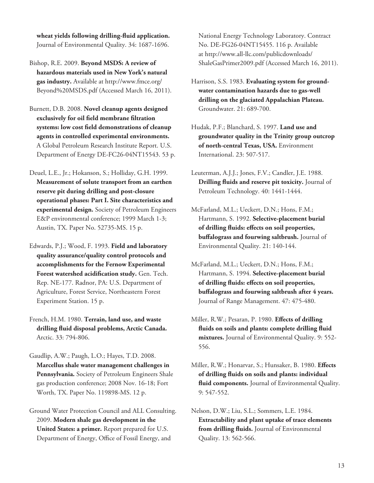**wheat yields following drilling-fl uid application.** Journal of Environmental Quality. 34: 1687-1696.

Bishop, R.E. 2009. **Beyond MSDS: A review of hazardous materials used in New York's natural gas industry.** Available at http://www.fmce.org/ Beyond%20MSDS.pdf (Accessed March 16, 2011).

Burnett, D.B. 2008. **Novel cleanup agents designed**  exclusively for oil field membrane filtration systems: low cost field demonstrations of cleanup **agents in controlled experimental environments.** A Global Petroleum Research Institute Report. U.S. Department of Energy DE-FC26-04NT15543. 53 p.

Deuel, L.E., Jr.; Hokanson, S.; Holliday, G.H. 1999. **Measurement of solute transport from an earthen reserve pit during drilling and post-closure operational phases: Part I. Site characteristics and experimental design.** Society of Petroleum Engineers E&P environmental conference; 1999 March 1-3; Austin, TX. Paper No. 52735-MS. 15 p.

Edwards, P.J.; Wood, F. 1993. **Field and laboratory quality assurance/quality control protocols and accomplishments for the Fernow Experimental**  Forest watershed acidification study. Gen. Tech. Rep. NE-177. Radnor, PA: U.S. Department of Agriculture, Forest Service, Northeastern Forest Experiment Station. 15 p.

French, H.M. 1980. **Terrain, land use, and waste**  drilling fluid disposal problems, Arctic Canada. Arctic. 33: 794-806.

Gaudlip, A.W.; Paugh, L.O.; Hayes, T.D. 2008. **Marcellus shale water management challenges in Pennsylvania.** Society of Petroleum Engineers Shale gas production conference; 2008 Nov. 16-18; Fort Worth, TX. Paper No. 119898-MS. 12 p.

Ground Water Protection Council and ALL Consulting. 2009. **Modern shale gas development in the United States: a primer.** Report prepared for U.S. Department of Energy, Office of Fossil Energy, and

National Energy Technology Laboratory. Contract No. DE-FG26-04NT15455. 116 p. Available at http://www.all-llc.com/publicdownloads/ ShaleGasPrimer2009.pdf (Accessed March 16, 2011).

Harrison, S.S. 1983. **Evaluating system for groundwater contamination hazards due to gas-well drilling on the glaciated Appalachian Plateau.** Groundwater. 21: 689-700.

Hudak, P.F.; Blanchard, S. 1997. **Land use and groundwater quality in the Trinity group outcrop of north-central Texas, USA.** Environment International. 23: 507-517.

Leuterman, A.J.J.; Jones, F.V.; Candler, J.E. 1988. **Drilling fluids and reserve pit toxicity.** Journal of Petroleum Technology. 40: 1441-1444.

McFarland, M.L.; Ueckert, D.N.; Hons, F.M.; Hartmann, S. 1992. **Selective-placement burial**  of drilling fluids: effects on soil properties, **buffalograss and fourwing saltbrush.** Journal of Environmental Quality. 21: 140-144.

McFarland, M.L.; Ueckert, D.N.; Hons, F.M.; Hartmann, S. 1994. **Selective-placement burial of drilling fl uids: eff ects on soil properties, buff alograss and fourwing saltbrush after 4 years.** Journal of Range Management. 47: 475-480.

Miller, R.W.; Pesaran, P. 1980. **Effects of drilling** fluids on soils and plants: complete drilling fluid **mixtures.** Journal of Environmental Quality. 9: 552- 556.

Miller, R.W.; Honarvar, S.; Hunsaker, B. 1980. **Effects of drilling fl uids on soils and plants: individual**  fluid components. Journal of Environmental Quality. 9: 547-552.

Nelson, D.W.; Liu, S.L.; Sommers, L.E. 1984. **Extractability and plant uptake of trace elements**  from drilling fluids. Journal of Environmental Quality. 13: 562-566.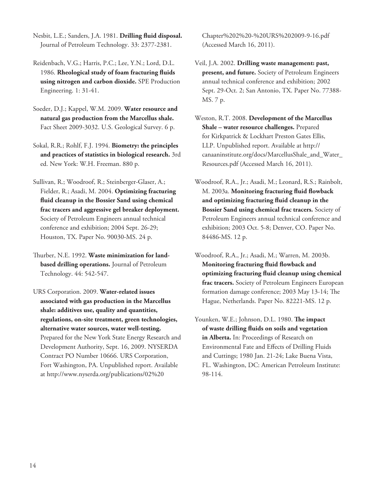Nesbit, L.E.; Sanders, J.A. 1981. **Drilling fluid disposal.** Journal of Petroleum Technology. 33: 2377-2381.

Reidenbach, V.G.; Harris, P.C.; Lee, Y.N.; Lord, D.L. 1986. **Rheological study of foam fracturing fl uids using nitrogen and carbon dioxide.** SPE Production Engineering. 1: 31-41.

Soeder, D.J.; Kappel, W.M. 2009. **Water resource and natural gas production from the Marcellus shale.** Fact Sheet 2009-3032. U.S. Geological Survey. 6 p.

Sokal, R.R.; Rohlf, F.J. 1994. **Biometry: the principles and practices of statistics in biological research.** 3rd ed. New York: W.H. Freeman. 880 p.

Sullivan, R.; Woodroof, R.; Steinberger-Glaser, A.; Fielder, R.; Asadi, M. 2004. **Optimizing fracturing**  fluid cleanup in the Bossier Sand using chemical **frac tracers and aggressive gel breaker deployment.** Society of Petroleum Engineers annual technical conference and exhibition; 2004 Sept. 26-29; Houston, TX. Paper No. 90030-MS. 24 p.

Thurber, N.E. 1992. Waste minimization for land**based drilling operations.** Journal of Petroleum Technology. 44: 542-547.

URS Corporation. 2009. **Water-related issues associated with gas production in the Marcellus shale: additives use, quality and quantities, regulations, on-site treatment, green technologies, alternative water sources, water well-testing.** Prepared for the New York State Energy Research and Development Authority, Sept. 16, 2009. NYSERDA Contract PO Number 10666. URS Corporation, Fort Washington, PA. Unpublished report. Available at http://www.nyserda.org/publications/02%20

Chapter%202%20-%20URS%202009-9-16.pdf (Accessed March 16, 2011).

Veil, J.A. 2002. **Drilling waste management: past, present, and future.** Society of Petroleum Engineers annual technical conference and exhibition; 2002 Sept. 29-Oct. 2; San Antonio, TX. Paper No. 77388- MS. 7 p.

Weston, R.T. 2008. **Development of the Marcellus Shale – water resource challenges.** Prepared for Kirkpatrick & Lockhart Preston Gates Ellis, LLP. Unpublished report. Available at http:// canaaninstitute.org/docs/MarcellusShale\_and\_Water\_ Resources.pdf (Accessed March 16, 2011).

Woodroof, R.A., Jr.; Asadi, M.; Leonard, R.S.; Rainbolt, M. 2003a. Monitoring fracturing fluid flowback and optimizing fracturing fluid cleanup in the **Bossier Sand using chemical frac tracers.** Society of Petroleum Engineers annual technical conference and exhibition; 2003 Oct. 5-8; Denver, CO. Paper No. 84486-MS. 12 p.

Woodroof, R.A., Jr.; Asadi, M.; Warren, M. 2003b. **Monitoring fracturing fluid flowback and optimizing fracturing fl uid cleanup using chemical frac tracers.** Society of Petroleum Engineers European formation damage conference; 2003 May 13-14; The Hague, Netherlands. Paper No. 82221-MS. 12 p.

Younken, W.E.; Johnson, D.L. 1980. **The impact** of waste drilling fluids on soils and vegetation **in Alberta.** In: Proceedings of Research on Environmental Fate and Effects of Drilling Fluids and Cuttings; 1980 Jan. 21-24; Lake Buena Vista, FL. Washington, DC: American Petroleum Institute: 98-114.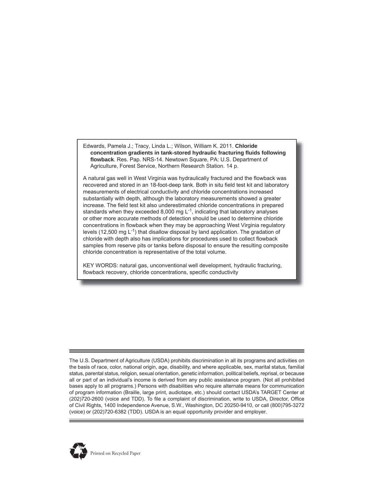Edwards, Pamela J.; Tracy, Linda L.; Wilson, William K. 2011. **Chloride concentration gradients in tank-stored hydraulic fracturing fl uids following flowback**. Res. Pap. NRS-14. Newtown Square, PA: U.S. Department of Agriculture, Forest Service, Northern Research Station. 14 p.

A natural gas well in West Virginia was hydraulically fractured and the flowback was recovered and stored in an 18-foot-deep tank. Both in situ field test kit and laboratory measurements of electrical conductivity and chloride concentrations increased substantially with depth, although the laboratory measurements showed a greater increase. The field test kit also underestimated chloride concentrations in prepared standards when they exceeded 8,000 mg  $L^{-1}$ , indicating that laboratory analyses or other more accurate methods of detection should be used to determine chloride concentrations in flowback when they may be approaching West Virginia regulatory levels (12,500 mg  $L^{-1}$ ) that disallow disposal by land application. The gradation of chloride with depth also has implications for procedures used to collect flowback samples from reserve pits or tanks before disposal to ensure the resulting composite chloride concentration is representative of the total volume.

KEY WORDS: natural gas, unconventional well development, hydraulic fracturing, flowback recovery, chloride concentrations, specific conductivity

The U.S. Department of Agriculture (USDA) prohibits discrimination in all its programs and activities on the basis of race, color, national origin, age, disability, and where applicable, sex, marital status, familial status, parental status, religion, sexual orientation, genetic information, political beliefs, reprisal, or because all or part of an individual's income is derived from any public assistance program. (Not all prohibited bases apply to all programs.) Persons with disabilities who require alternate means for communication of program information (Braille, large print, audiotape, etc.) should contact USDA's TARGET Center at (202)720-2600 (voice and TDD). To file a complaint of discrimination, write to USDA, Director, Office of Civil Rights, 1400 Independence Avenue, S.W., Washington, DC 20250-9410, or call (800)795-3272 (voice) or (202)720-6382 (TDD). USDA is an equal opportunity provider and employer.